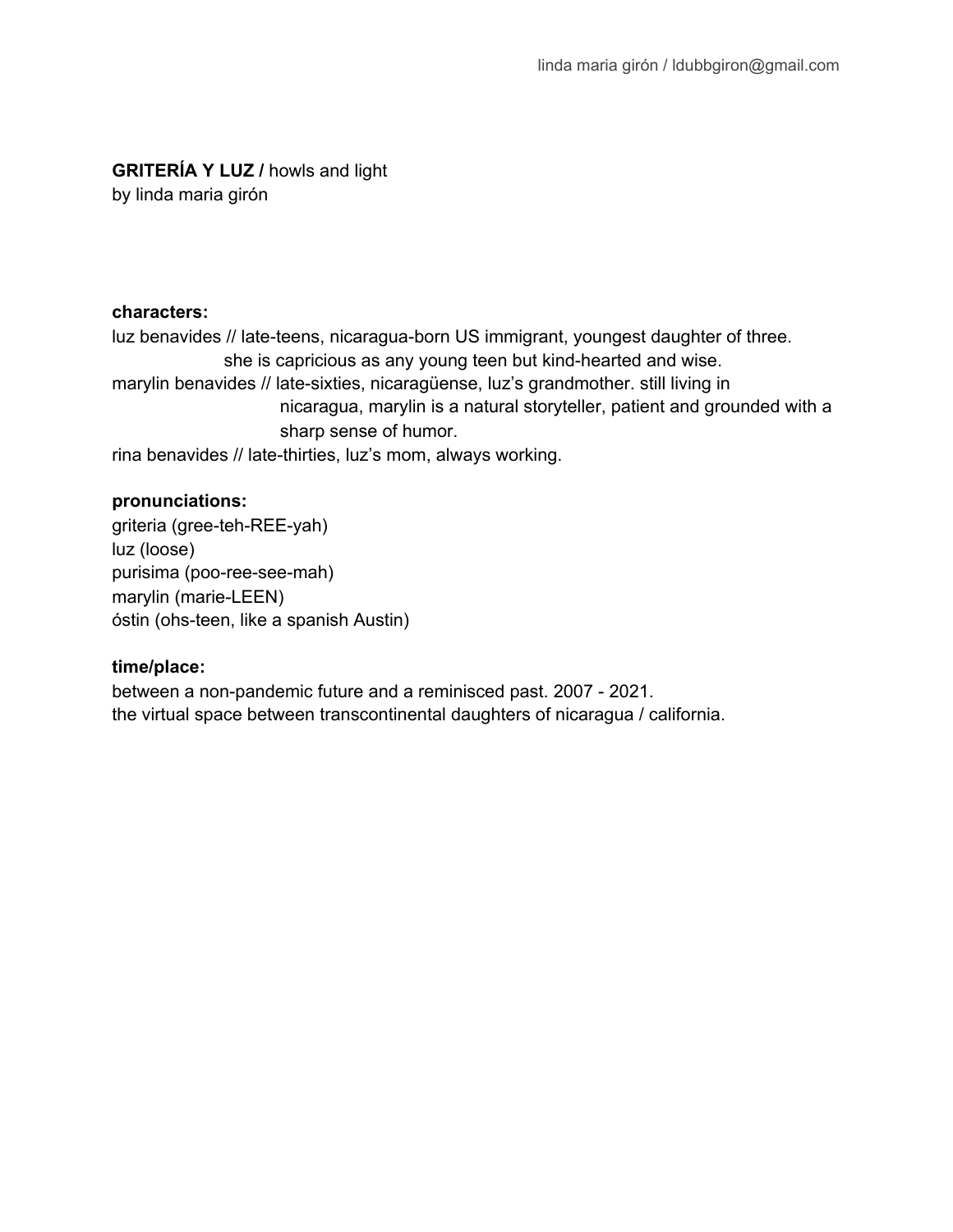# **GRITERÍA Y LUZ /** howls and light

by linda maria girón

### **characters:**

luz benavides // late-teens, nicaragua-born US immigrant, youngest daughter of three. she is capricious as any young teen but kind-hearted and wise. marylin benavides // late-sixties, nicaragüense, luz's grandmother. still living in nicaragua, marylin is a natural storyteller, patient and grounded with a sharp sense of humor. rina benavides // late-thirties, luz's mom, always working.

### **pronunciations:**

griteria (gree-teh-REE-yah) luz (loose) purisima (poo-ree-see-mah) marylin (marie-LEEN) óstin (ohs-teen, like a spanish Austin)

# **time/place:**

between a non-pandemic future and a reminisced past. 2007 - 2021. the virtual space between transcontinental daughters of nicaragua / california.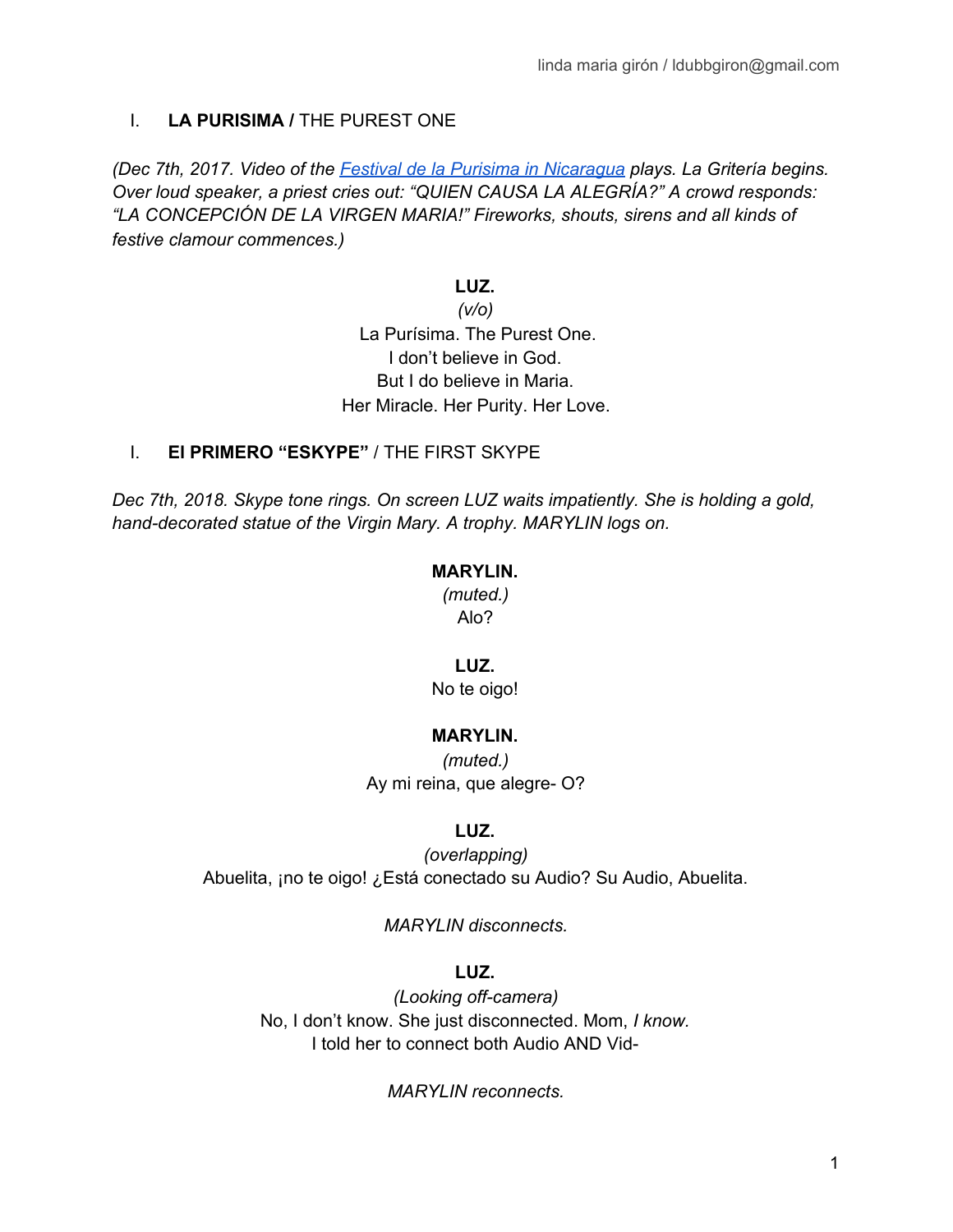# I. **LA PURISIMA /** THE PUREST ONE

*(Dec 7th, 2017. Video of the Festival de la Purisima in [Nicaragua](https://www.youtube.com/watch?v=MF24dbosbEE) plays. La Gritería begins. Over loud speaker, a priest cries out: "QUIEN CAUSA LA ALEGRÍA?" A crowd responds: "LA CONCEPCIÓN DE LA VIRGEN MARIA!" Fireworks, shouts, sirens and all kinds of festive clamour commences.)*

### **LUZ.**

*(v/o)* La Purísima. The Purest One. I don't believe in God. But I do believe in Maria. Her Miracle. Her Purity. Her Love.

### I. **El PRIMERO "ESKYPE"** / THE FIRST SKYPE

*Dec 7th, 2018. Skype tone rings. On screen LUZ waits impatiently. She is holding a gold, hand-decorated statue of the Virgin Mary. A trophy. MARYLIN logs on.*

### **MARYLIN.**

*(muted.)* Alo?

### **LUZ.**

No te oigo!

# **MARYLIN.**

*(muted.)* Ay mi reina, que alegre- O?

# **LUZ.**

*(overlapping)* Abuelita, ¡no te oigo! ¿Está conectado su Audio? Su Audio, Abuelita.

*MARYLIN disconnects.*

# **LUZ.**

*(Looking off-camera)* No, I don't know. She just disconnected. Mom, *I know.* I told her to connect both Audio AND Vid-

*MARYLIN reconnects.*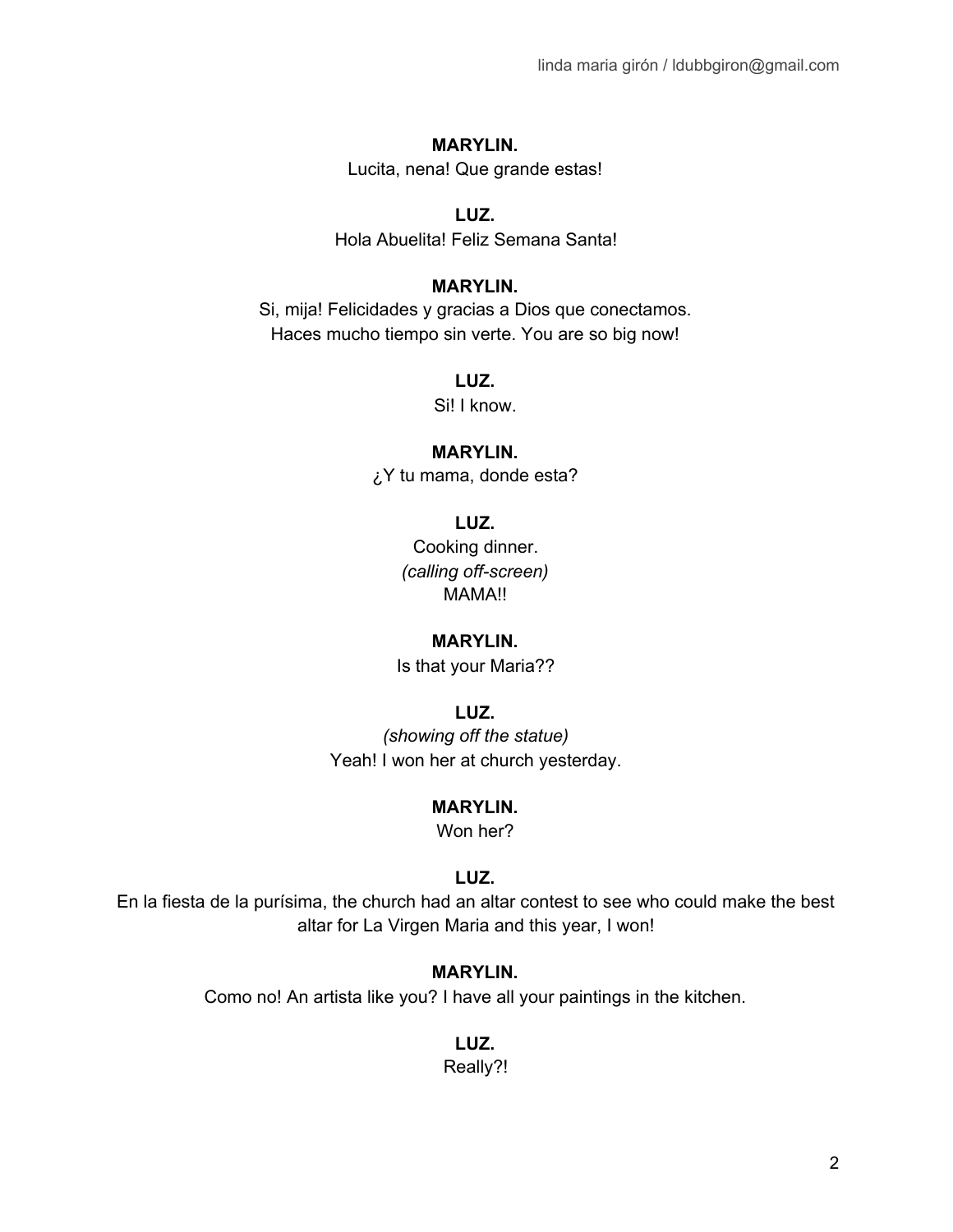Lucita, nena! Que grande estas!

### **LUZ.**

Hola Abuelita! Feliz Semana Santa!

### **MARYLIN.**

Si, mija! Felicidades y gracias a Dios que conectamos. Haces mucho tiempo sin verte. You are so big now!

# **LUZ.**

Si! I know.

### **MARYLIN.**

¿Y tu mama, donde esta?

**LUZ.**

Cooking dinner. *(calling off-screen)* MAMA!!

# **MARYLIN.**

Is that your Maria??

# **LUZ.**

*(showing off the statue)* Yeah! I won her at church yesterday.

# **MARYLIN.**

Won her?

# **LUZ.**

En la fiesta de la purísima, the church had an altar contest to see who could make the best altar for La Virgen Maria and this year, I won!

# **MARYLIN.**

Como no! An artista like you? I have all your paintings in the kitchen.

# **LUZ.**

Really?!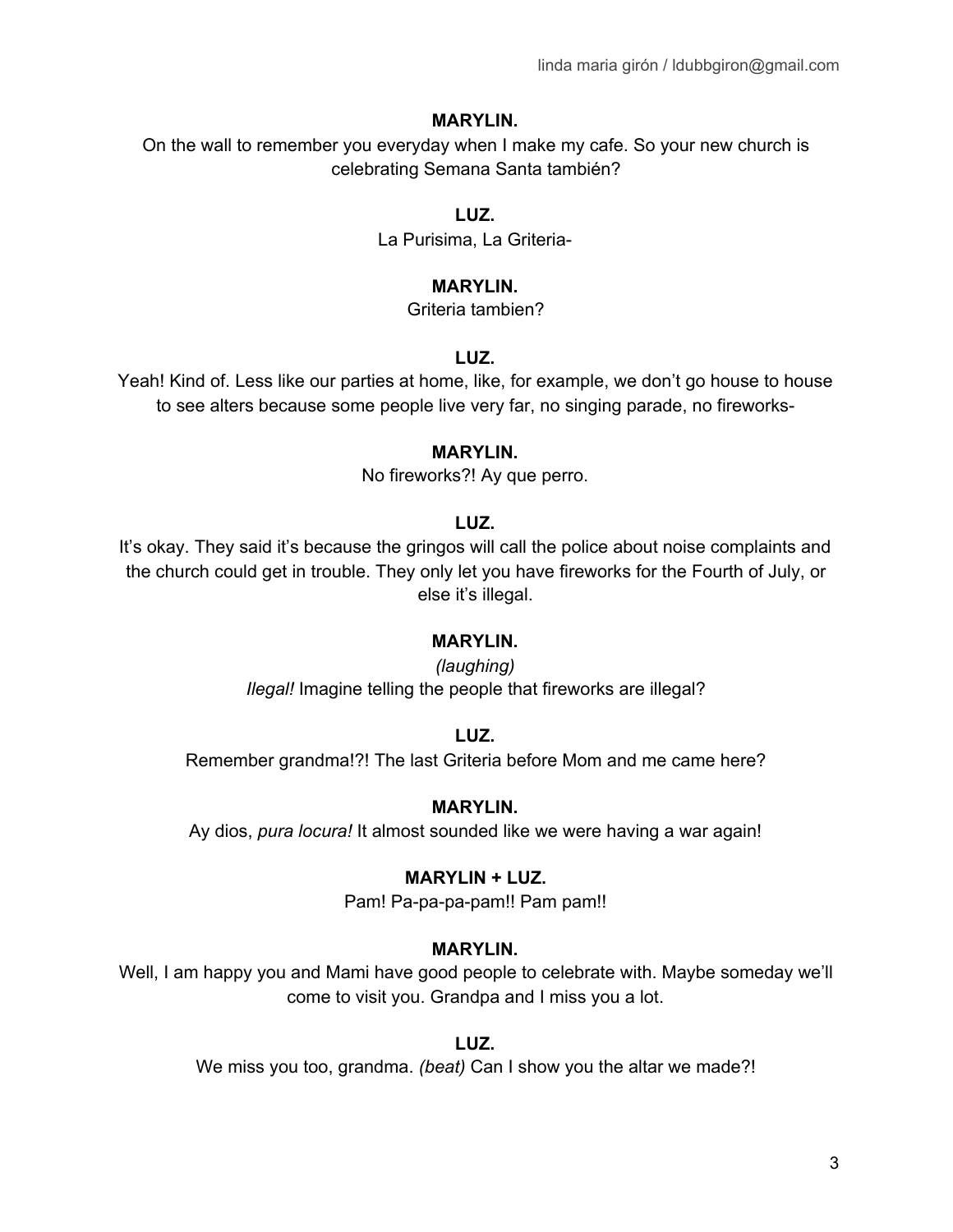On the wall to remember you everyday when I make my cafe. So your new church is celebrating Semana Santa también?

### **LUZ.**

La Purisima, La Griteria-

### **MARYLIN.**

Griteria tambien?

### **LUZ.**

Yeah! Kind of. Less like our parties at home, like, for example, we don't go house to house to see alters because some people live very far, no singing parade, no fireworks-

### **MARYLIN.**

No fireworks?! Ay que perro.

### **LUZ.**

It's okay. They said it's because the gringos will call the police about noise complaints and the church could get in trouble. They only let you have fireworks for the Fourth of July, or else it's illegal.

### **MARYLIN.**

*(laughing) Ilegal!* Imagine telling the people that fireworks are illegal?

### **LUZ.**

Remember grandma!?! The last Griteria before Mom and me came here?

### **MARYLIN.**

Ay dios, *pura locura!* It almost sounded like we were having a war again!

### **MARYLIN + LUZ.**

Pam! Pa-pa-pa-pam!! Pam pam!!

### **MARYLIN.**

Well, I am happy you and Mami have good people to celebrate with. Maybe someday we'll come to visit you. Grandpa and I miss you a lot.

### **LUZ.**

We miss you too, grandma. *(beat)* Can I show you the altar we made?!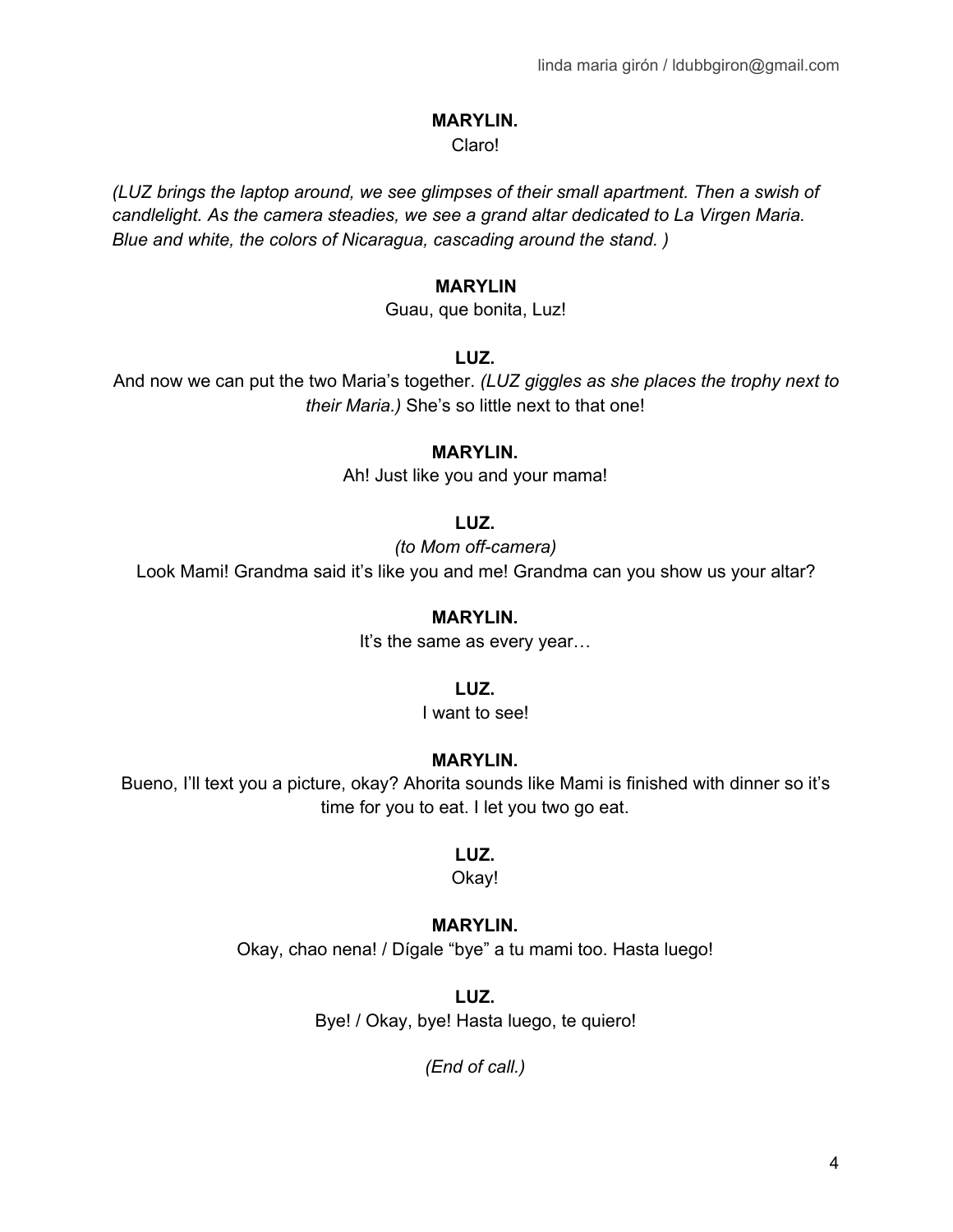#### Claro!

*(LUZ brings the laptop around, we see glimpses of their small apartment. Then a swish of candlelight. As the camera steadies, we see a grand altar dedicated to La Virgen Maria. Blue and white, the colors of Nicaragua, cascading around the stand. )*

#### **MARYLIN**

Guau, que bonita, Luz!

#### **LUZ.**

And now we can put the two Maria's together. *(LUZ giggles as she places the trophy next to their Maria.)* She's so little next to that one!

#### **MARYLIN.**

Ah! Just like you and your mama!

### **LUZ.**

*(to Mom off-camera)*

Look Mami! Grandma said it's like you and me! Grandma can you show us your altar?

### **MARYLIN.**

It's the same as every year...

### **LUZ.**

I want to see!

### **MARYLIN.**

Bueno, I'll text you a picture, okay? Ahorita sounds like Mami is finished with dinner so it's time for you to eat. I let you two go eat.

### **LUZ.**

Okay!

### **MARYLIN.**

Okay, chao nena! / Dígale "bye" a tu mami too. Hasta luego!

### **LUZ.**

Bye! / Okay, bye! Hasta luego, te quiero!

*(End of call.)*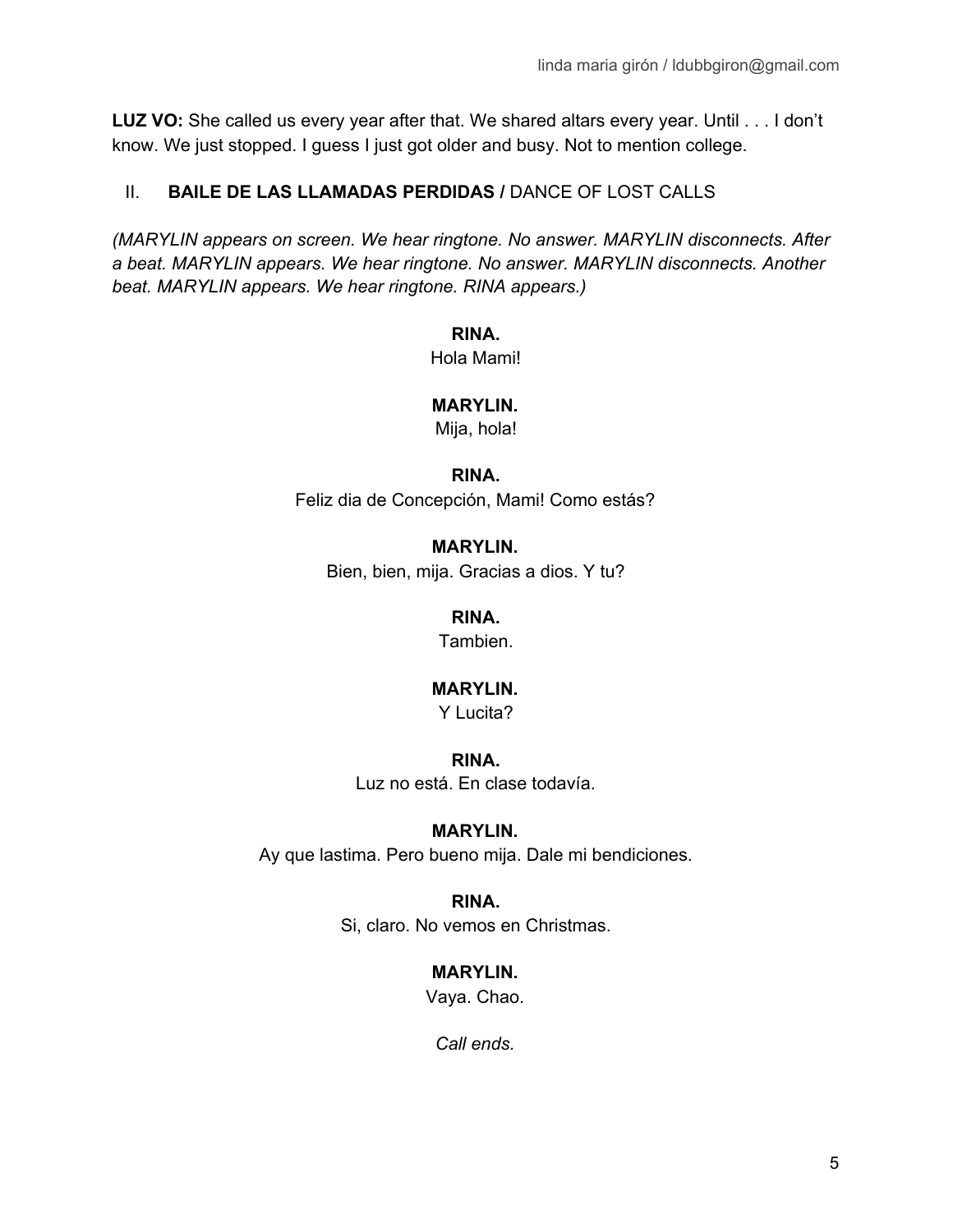**LUZ VO:** She called us every year after that. We shared altars every year. Until . . . I don't know. We just stopped. I guess I just got older and busy. Not to mention college.

# II. **BAILE DE LAS LLAMADAS PERDIDAS /** DANCE OF LOST CALLS

*(MARYLIN appears on screen. We hear ringtone. No answer. MARYLIN disconnects. After a beat. MARYLIN appears. We hear ringtone. No answer. MARYLIN disconnects. Another beat. MARYLIN appears. We hear ringtone. RINA appears.)*

### **RINA.**

Hola Mami!

# **MARYLIN.**

Mija, hola!

### **RINA.**

Feliz dia de Concepción, Mami! Como estás?

# **MARYLIN.**

Bien, bien, mija. Gracias a dios. Y tu?

# **RINA.**

Tambien.

# **MARYLIN.**

Y Lucita?

# **RINA.**

Luz no está. En clase todavía.

# **MARYLIN.**

Ay que lastima. Pero bueno mija. Dale mi bendiciones.

# **RINA.**

Si, claro. No vemos en Christmas.

# **MARYLIN.**

Vaya. Chao.

*Call ends.*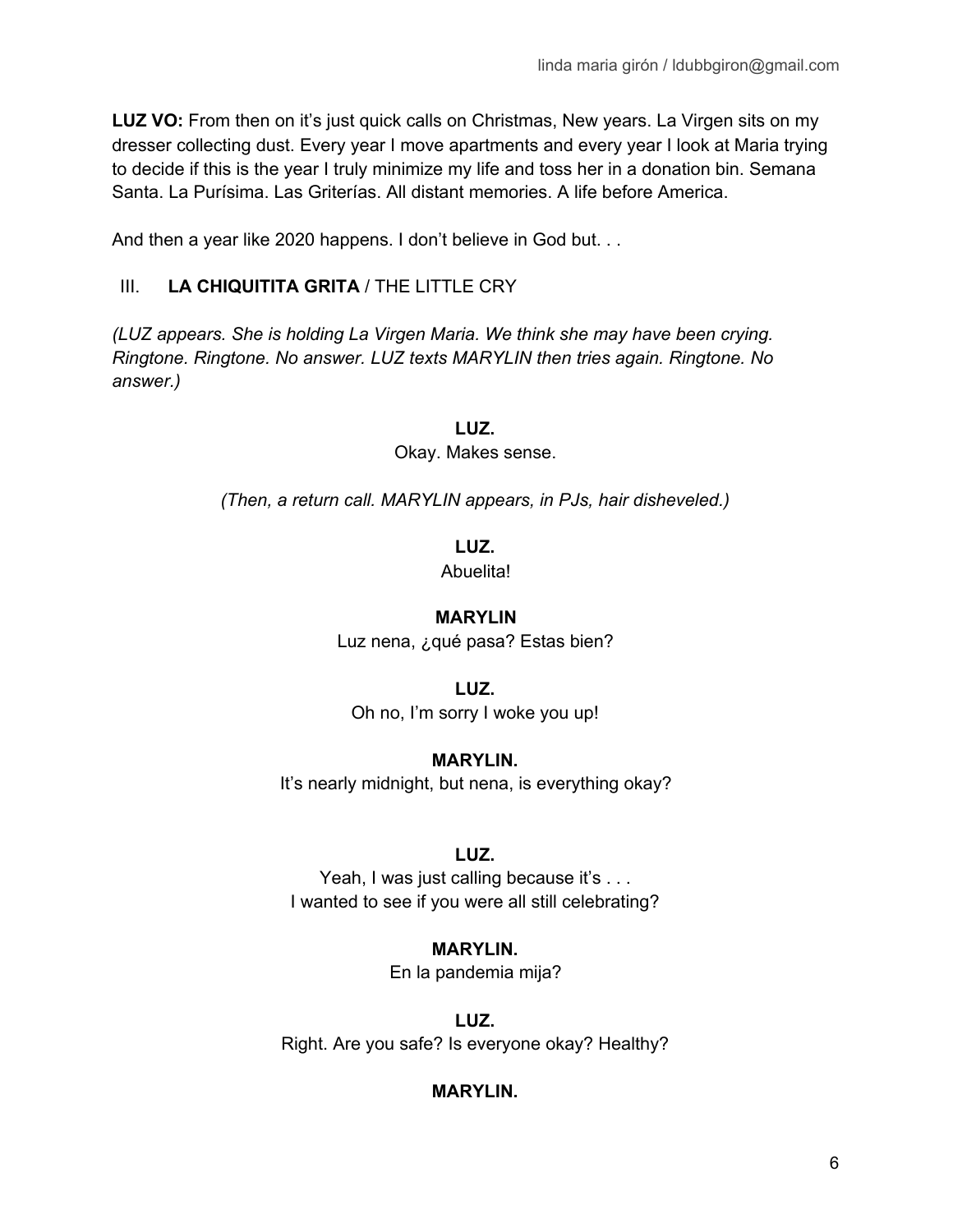**LUZ VO:** From then on it's just quick calls on Christmas, New years. La Virgen sits on my dresser collecting dust. Every year I move apartments and every year I look at Maria trying to decide if this is the year I truly minimize my life and toss her in a donation bin. Semana Santa. La Purísima. Las Griterías. All distant memories. A life before America.

And then a year like 2020 happens. I don't believe in God but...

# III. **LA CHIQUITITA GRITA** / THE LITTLE CRY

*(LUZ appears. She is holding La Virgen Maria. We think she may have been crying. Ringtone. Ringtone. No answer. LUZ texts MARYLIN then tries again. Ringtone. No answer.)*

**LUZ.**

Okay. Makes sense.

*(Then, a return call. MARYLIN appears, in PJs, hair disheveled.)*

# **LUZ.**

Abuelita!

# **MARYLIN**

Luz nena, ¿qué pasa? Estas bien?

# **LUZ.**

Oh no, I'm sorry I woke you up!

# **MARYLIN.**

It's nearly midnight, but nena, is everything okay?

# **LUZ.**

Yeah, I was just calling because it's . . . I wanted to see if you were all still celebrating?

# **MARYLIN.**

En la pandemia mija?

**LUZ.** Right. Are you safe? Is everyone okay? Healthy?

# **MARYLIN.**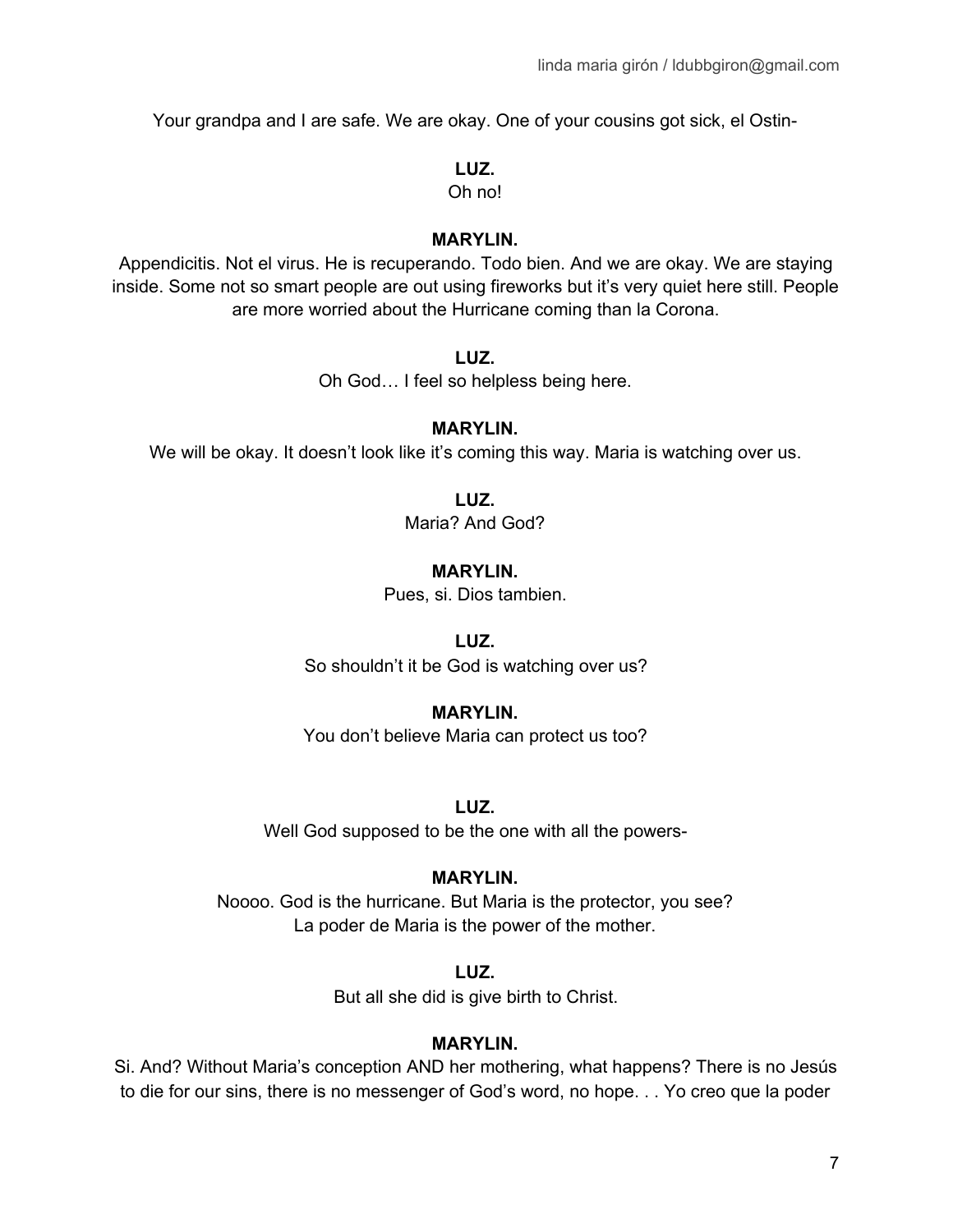Your grandpa and I are safe. We are okay. One of your cousins got sick, el Ostin-

### **LUZ.**

Oh no!

### **MARYLIN.**

Appendicitis. Not el virus. He is recuperando. Todo bien. And we are okay. We are staying inside. Some not so smart people are out using fireworks but it's very quiet here still. People are more worried about the Hurricane coming than la Corona.

### **LUZ.**

Oh God… I feel so helpless being here.

### **MARYLIN.**

We will be okay. It doesn't look like it's coming this way. Maria is watching over us.

**LUZ.**

Maria? And God?

### **MARYLIN.**

Pues, si. Dios tambien.

### **LUZ.**

So shouldn't it be God is watching over us?

# **MARYLIN.**

You don't believe Maria can protect us too?

**LUZ.**

Well God supposed to be the one with all the powers-

# **MARYLIN.**

Noooo. God is the hurricane. But Maria is the protector, you see? La poder de Maria is the power of the mother.

**LUZ.**

But all she did is give birth to Christ.

### **MARYLIN.**

Si. And? Without Maria's conception AND her mothering, what happens? There is no Jesús to die for our sins, there is no messenger of God's word, no hope. . . Yo creo que la poder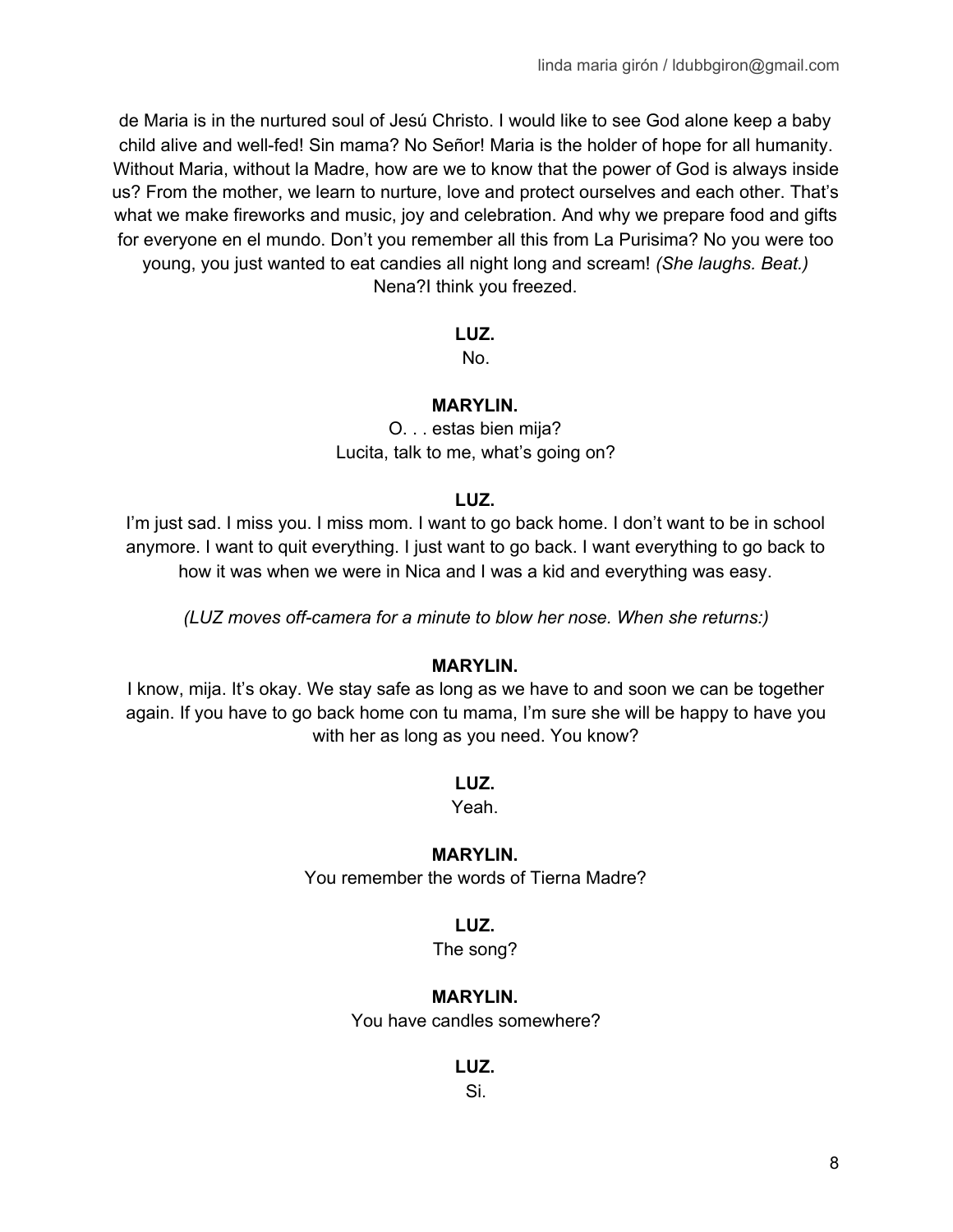de Maria is in the nurtured soul of Jesú Christo. I would like to see God alone keep a baby child alive and well-fed! Sin mama? No Señor! Maria is the holder of hope for all humanity. Without Maria, without la Madre, how are we to know that the power of God is always inside us? From the mother, we learn to nurture, love and protect ourselves and each other. That's what we make fireworks and music, joy and celebration. And why we prepare food and gifts for everyone en el mundo. Don't you remember all this from La Purisima? No you were too young, you just wanted to eat candies all night long and scream! *(She laughs. Beat.)* Nena?I think you freezed.

### **LUZ.**

No.

### **MARYLIN.**

O. . . estas bien mija? Lucita, talk to me, what's going on?

### **LUZ.**

I'm just sad. I miss you. I miss mom. I want to go back home. I don't want to be in school anymore. I want to quit everything. I just want to go back. I want everything to go back to how it was when we were in Nica and I was a kid and everything was easy.

*(LUZ moves off-camera for a minute to blow her nose. When she returns:)*

### **MARYLIN.**

I know, mija. It's okay. We stay safe as long as we have to and soon we can be together again. If you have to go back home con tu mama, I'm sure she will be happy to have you with her as long as you need. You know?

**LUZ.**

Yeah.

### **MARYLIN.**

You remember the words of Tierna Madre?

### **LUZ.**

The song?

# **MARYLIN.**

You have candles somewhere?

**LUZ.**

Si.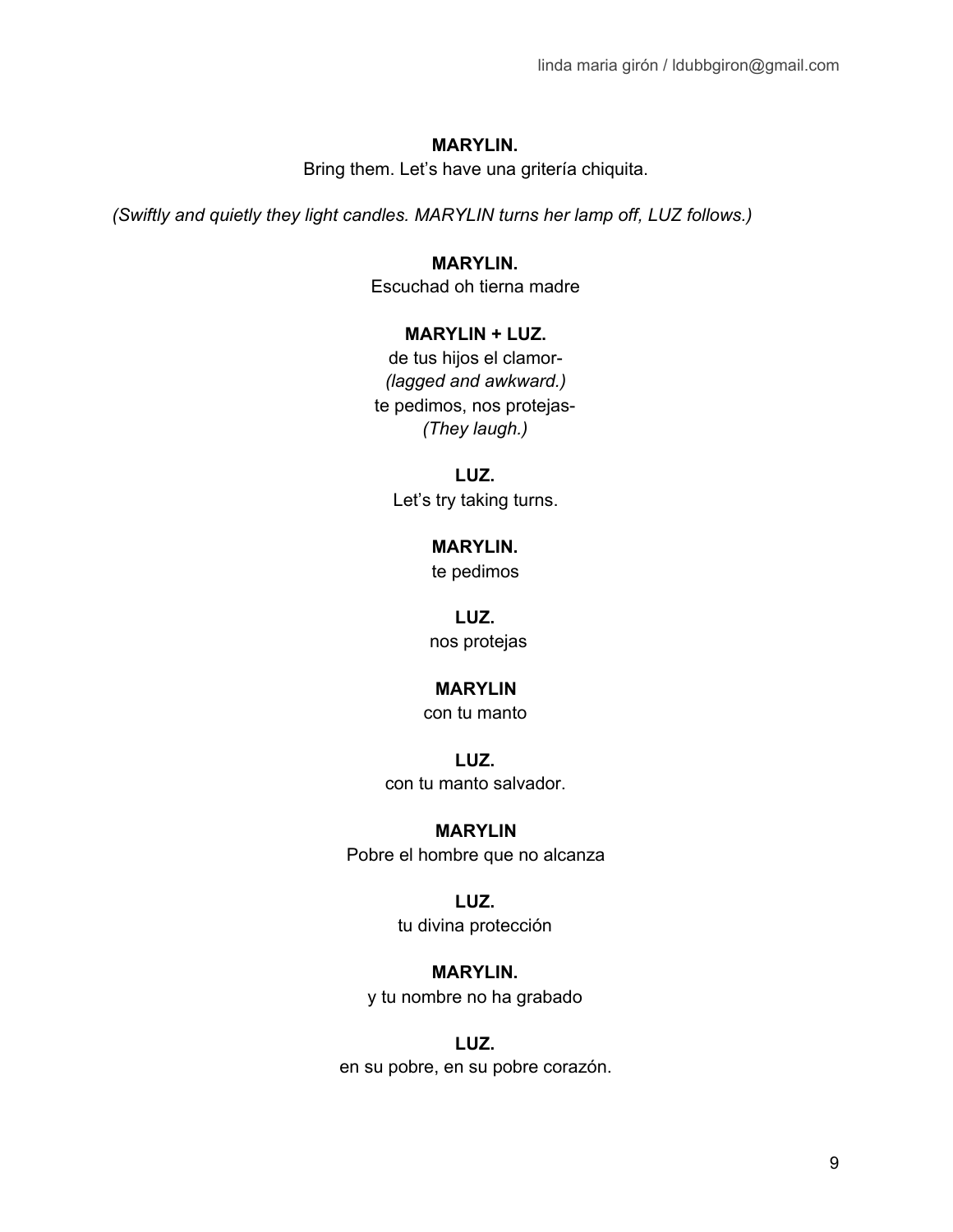Bring them. Let's have una gritería chiquita.

*(Swiftly and quietly they light candles. MARYLIN turns her lamp off, LUZ follows.)*

**MARYLIN.** Escuchad oh tierna madre

# **MARYLIN + LUZ.**

de tus hijos el clamor- *(lagged and awkward.)* te pedimos, nos protejas- *(They laugh.)*

**LUZ.** Let's try taking turns.

> **MARYLIN.** te pedimos

**LUZ.** nos protejas

### **MARYLIN**

con tu manto

**LUZ.** con tu manto salvador.

### **MARYLIN**

Pobre el hombre que no alcanza

### **LUZ.**

tu divina protección

### **MARYLIN.**

y tu nombre no ha grabado

### **LUZ.**

en su pobre, en su pobre corazón.